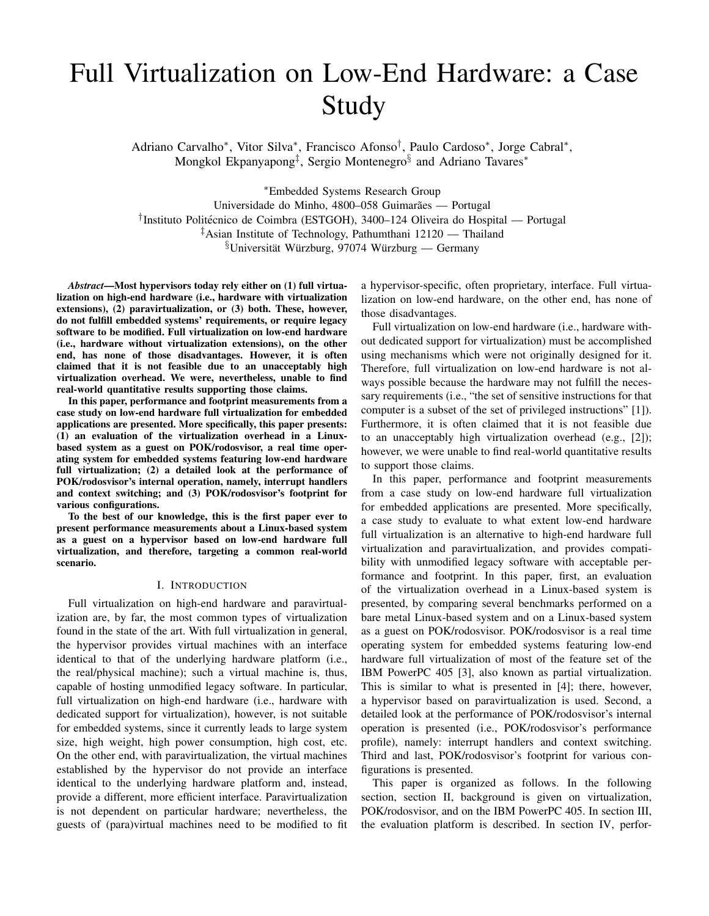# Full Virtualization on Low-End Hardware: a Case Study

Adriano Carvalho<sup>∗</sup>, Vitor Silva<sup>∗</sup>, Francisco Afonso<sup>†</sup>, Paulo Cardoso<sup>∗</sup>, Jorge Cabral<sup>∗</sup>, Mongkol Ekpanyapong<sup>‡</sup>, Sergio Montenegro<sup>§</sup> and Adriano Tavares<sup>\*</sup>

<sup>∗</sup>Embedded Systems Research Group

Universidade do Minho, 4800–058 Guimarães — Portugal <sup>†</sup>Instituto Politécnico de Coimbra (ESTGOH), 3400-124 Oliveira do Hospital — Portugal ‡Asian Institute of Technology, Pathumthani 12120 — Thailand  $$Universität Würzburg, 97074 Würzburg — Germany$ 

*Abstract*—Most hypervisors today rely either on (1) full virtualization on high-end hardware (i.e., hardware with virtualization extensions), (2) paravirtualization, or (3) both. These, however, do not fulfill embedded systems' requirements, or require legacy software to be modified. Full virtualization on low-end hardware (i.e., hardware without virtualization extensions), on the other end, has none of those disadvantages. However, it is often claimed that it is not feasible due to an unacceptably high virtualization overhead. We were, nevertheless, unable to find real-world quantitative results supporting those claims.

In this paper, performance and footprint measurements from a case study on low-end hardware full virtualization for embedded applications are presented. More specifically, this paper presents: (1) an evaluation of the virtualization overhead in a Linuxbased system as a guest on POK/rodosvisor, a real time operating system for embedded systems featuring low-end hardware full virtualization; (2) a detailed look at the performance of POK/rodosvisor's internal operation, namely, interrupt handlers and context switching; and (3) POK/rodosvisor's footprint for various configurations.

To the best of our knowledge, this is the first paper ever to present performance measurements about a Linux-based system as a guest on a hypervisor based on low-end hardware full virtualization, and therefore, targeting a common real-world scenario.

#### I. INTRODUCTION

Full virtualization on high-end hardware and paravirtualization are, by far, the most common types of virtualization found in the state of the art. With full virtualization in general, the hypervisor provides virtual machines with an interface identical to that of the underlying hardware platform (i.e., the real/physical machine); such a virtual machine is, thus, capable of hosting unmodified legacy software. In particular, full virtualization on high-end hardware (i.e., hardware with dedicated support for virtualization), however, is not suitable for embedded systems, since it currently leads to large system size, high weight, high power consumption, high cost, etc. On the other end, with paravirtualization, the virtual machines established by the hypervisor do not provide an interface identical to the underlying hardware platform and, instead, provide a different, more efficient interface. Paravirtualization is not dependent on particular hardware; nevertheless, the guests of (para)virtual machines need to be modified to fit a hypervisor-specific, often proprietary, interface. Full virtualization on low-end hardware, on the other end, has none of those disadvantages.

Full virtualization on low-end hardware (i.e., hardware without dedicated support for virtualization) must be accomplished using mechanisms which were not originally designed for it. Therefore, full virtualization on low-end hardware is not always possible because the hardware may not fulfill the necessary requirements (i.e., "the set of sensitive instructions for that computer is a subset of the set of privileged instructions" [1]). Furthermore, it is often claimed that it is not feasible due to an unacceptably high virtualization overhead (e.g., [2]); however, we were unable to find real-world quantitative results to support those claims.

In this paper, performance and footprint measurements from a case study on low-end hardware full virtualization for embedded applications are presented. More specifically, a case study to evaluate to what extent low-end hardware full virtualization is an alternative to high-end hardware full virtualization and paravirtualization, and provides compatibility with unmodified legacy software with acceptable performance and footprint. In this paper, first, an evaluation of the virtualization overhead in a Linux-based system is presented, by comparing several benchmarks performed on a bare metal Linux-based system and on a Linux-based system as a guest on POK/rodosvisor. POK/rodosvisor is a real time operating system for embedded systems featuring low-end hardware full virtualization of most of the feature set of the IBM PowerPC 405 [3], also known as partial virtualization. This is similar to what is presented in [4]; there, however, a hypervisor based on paravirtualization is used. Second, a detailed look at the performance of POK/rodosvisor's internal operation is presented (i.e., POK/rodosvisor's performance profile), namely: interrupt handlers and context switching. Third and last, POK/rodosvisor's footprint for various configurations is presented.

This paper is organized as follows. In the following section, section II, background is given on virtualization, POK/rodosvisor, and on the IBM PowerPC 405. In section III, the evaluation platform is described. In section IV, perfor-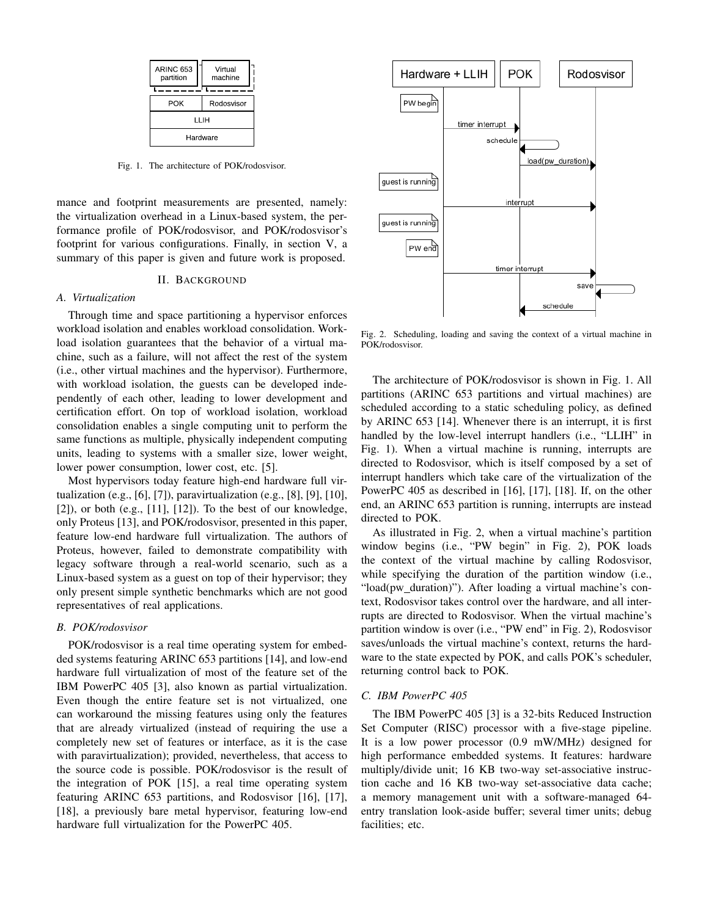| ARINC <sub>653</sub><br>partition | Virtual<br>machine |  |  |  |  |
|-----------------------------------|--------------------|--|--|--|--|
|                                   |                    |  |  |  |  |
| POK                               | Rodosvisor         |  |  |  |  |
| LLIH                              |                    |  |  |  |  |
| Hardware                          |                    |  |  |  |  |

Fig. 1. The architecture of POK/rodosvisor.

mance and footprint measurements are presented, namely: the virtualization overhead in a Linux-based system, the performance profile of POK/rodosvisor, and POK/rodosvisor's footprint for various configurations. Finally, in section V, a summary of this paper is given and future work is proposed.

## II. BACKGROUND

## *A. Virtualization*

Through time and space partitioning a hypervisor enforces workload isolation and enables workload consolidation. Workload isolation guarantees that the behavior of a virtual machine, such as a failure, will not affect the rest of the system (i.e., other virtual machines and the hypervisor). Furthermore, with workload isolation, the guests can be developed independently of each other, leading to lower development and certification effort. On top of workload isolation, workload consolidation enables a single computing unit to perform the same functions as multiple, physically independent computing units, leading to systems with a smaller size, lower weight, lower power consumption, lower cost, etc. [5].

Most hypervisors today feature high-end hardware full virtualization  $(e.g., [6], [7])$ , paravirtualization  $(e.g., [8], [9], [10]$ , [2]), or both (e.g., [11], [12]). To the best of our knowledge, only Proteus [13], and POK/rodosvisor, presented in this paper, feature low-end hardware full virtualization. The authors of Proteus, however, failed to demonstrate compatibility with legacy software through a real-world scenario, such as a Linux-based system as a guest on top of their hypervisor; they only present simple synthetic benchmarks which are not good representatives of real applications.

### *B. POK/rodosvisor*

POK/rodosvisor is a real time operating system for embedded systems featuring ARINC 653 partitions [14], and low-end hardware full virtualization of most of the feature set of the IBM PowerPC 405 [3], also known as partial virtualization. Even though the entire feature set is not virtualized, one can workaround the missing features using only the features that are already virtualized (instead of requiring the use a completely new set of features or interface, as it is the case with paravirtualization); provided, nevertheless, that access to the source code is possible. POK/rodosvisor is the result of the integration of POK [15], a real time operating system featuring ARINC 653 partitions, and Rodosvisor [16], [17], [18], a previously bare metal hypervisor, featuring low-end hardware full virtualization for the PowerPC 405.



Fig. 2. Scheduling, loading and saving the context of a virtual machine in POK/rodosvisor.

The architecture of POK/rodosvisor is shown in Fig. 1. All partitions (ARINC 653 partitions and virtual machines) are scheduled according to a static scheduling policy, as defined by ARINC 653 [14]. Whenever there is an interrupt, it is first handled by the low-level interrupt handlers (i.e., "LLIH" in Fig. 1). When a virtual machine is running, interrupts are directed to Rodosvisor, which is itself composed by a set of interrupt handlers which take care of the virtualization of the PowerPC 405 as described in [16], [17], [18]. If, on the other end, an ARINC 653 partition is running, interrupts are instead directed to POK.

As illustrated in Fig. 2, when a virtual machine's partition window begins (i.e., "PW begin" in Fig. 2), POK loads the context of the virtual machine by calling Rodosvisor, while specifying the duration of the partition window (i.e., "load(pw\_duration)"). After loading a virtual machine's context, Rodosvisor takes control over the hardware, and all interrupts are directed to Rodosvisor. When the virtual machine's partition window is over (i.e., "PW end" in Fig. 2), Rodosvisor saves/unloads the virtual machine's context, returns the hardware to the state expected by POK, and calls POK's scheduler, returning control back to POK.

## *C. IBM PowerPC 405*

The IBM PowerPC 405 [3] is a 32-bits Reduced Instruction Set Computer (RISC) processor with a five-stage pipeline. It is a low power processor (0.9 mW/MHz) designed for high performance embedded systems. It features: hardware multiply/divide unit; 16 KB two-way set-associative instruction cache and 16 KB two-way set-associative data cache; a memory management unit with a software-managed 64 entry translation look-aside buffer; several timer units; debug facilities; etc.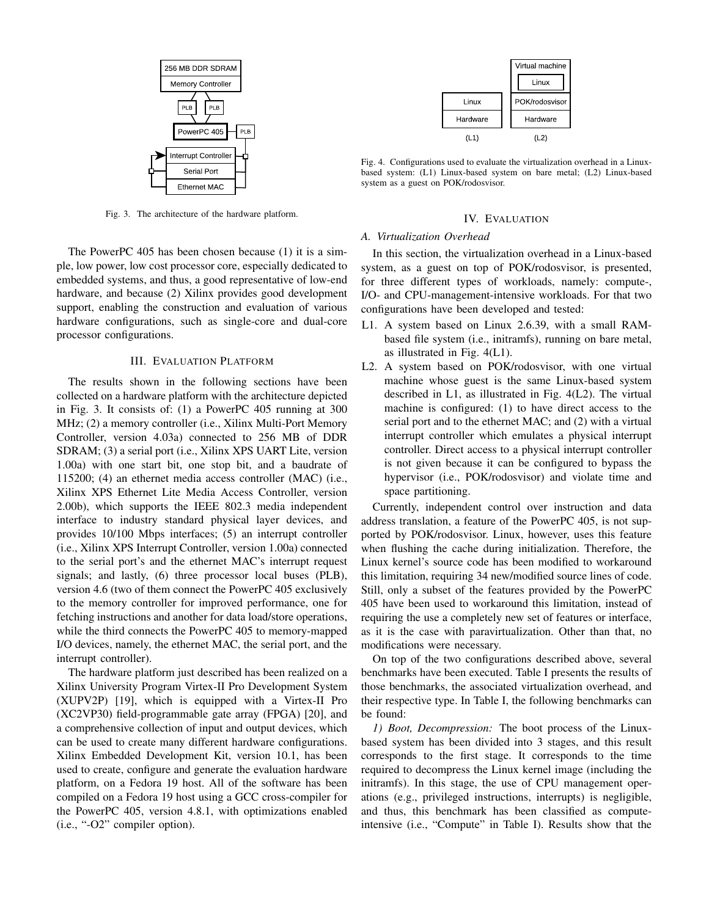

Fig. 3. The architecture of the hardware platform.

The PowerPC 405 has been chosen because (1) it is a simple, low power, low cost processor core, especially dedicated to embedded systems, and thus, a good representative of low-end hardware, and because (2) Xilinx provides good development support, enabling the construction and evaluation of various hardware configurations, such as single-core and dual-core processor configurations.

# III. EVALUATION PLATFORM

The results shown in the following sections have been collected on a hardware platform with the architecture depicted in Fig. 3. It consists of: (1) a PowerPC 405 running at 300 MHz; (2) a memory controller (i.e., Xilinx Multi-Port Memory Controller, version 4.03a) connected to 256 MB of DDR SDRAM; (3) a serial port (i.e., Xilinx XPS UART Lite, version 1.00a) with one start bit, one stop bit, and a baudrate of 115200; (4) an ethernet media access controller (MAC) (i.e., Xilinx XPS Ethernet Lite Media Access Controller, version 2.00b), which supports the IEEE 802.3 media independent interface to industry standard physical layer devices, and provides 10/100 Mbps interfaces; (5) an interrupt controller (i.e., Xilinx XPS Interrupt Controller, version 1.00a) connected to the serial port's and the ethernet MAC's interrupt request signals; and lastly, (6) three processor local buses (PLB), version 4.6 (two of them connect the PowerPC 405 exclusively to the memory controller for improved performance, one for fetching instructions and another for data load/store operations, while the third connects the PowerPC 405 to memory-mapped I/O devices, namely, the ethernet MAC, the serial port, and the interrupt controller).

The hardware platform just described has been realized on a Xilinx University Program Virtex-II Pro Development System (XUPV2P) [19], which is equipped with a Virtex-II Pro (XC2VP30) field-programmable gate array (FPGA) [20], and a comprehensive collection of input and output devices, which can be used to create many different hardware configurations. Xilinx Embedded Development Kit, version 10.1, has been used to create, configure and generate the evaluation hardware platform, on a Fedora 19 host. All of the software has been compiled on a Fedora 19 host using a GCC cross-compiler for the PowerPC 405, version 4.8.1, with optimizations enabled (i.e., "-O2" compiler option).

|          | Virtual machine |
|----------|-----------------|
|          | Linux           |
| Linux    | POK/rodosvisor  |
| Hardware | Hardware        |
| (L1)     | (L2)            |

Fig. 4. Configurations used to evaluate the virtualization overhead in a Linuxbased system: (L1) Linux-based system on bare metal; (L2) Linux-based system as a guest on POK/rodosvisor.

#### IV. EVALUATION

## *A. Virtualization Overhead*

In this section, the virtualization overhead in a Linux-based system, as a guest on top of POK/rodosvisor, is presented, for three different types of workloads, namely: compute-, I/O- and CPU-management-intensive workloads. For that two configurations have been developed and tested:

- L1. A system based on Linux 2.6.39, with a small RAMbased file system (i.e., initramfs), running on bare metal, as illustrated in Fig. 4(L1).
- L2. A system based on POK/rodosvisor, with one virtual machine whose guest is the same Linux-based system described in L1, as illustrated in Fig. 4(L2). The virtual machine is configured: (1) to have direct access to the serial port and to the ethernet MAC; and (2) with a virtual interrupt controller which emulates a physical interrupt controller. Direct access to a physical interrupt controller is not given because it can be configured to bypass the hypervisor (i.e., POK/rodosvisor) and violate time and space partitioning.

Currently, independent control over instruction and data address translation, a feature of the PowerPC 405, is not supported by POK/rodosvisor. Linux, however, uses this feature when flushing the cache during initialization. Therefore, the Linux kernel's source code has been modified to workaround this limitation, requiring 34 new/modified source lines of code. Still, only a subset of the features provided by the PowerPC 405 have been used to workaround this limitation, instead of requiring the use a completely new set of features or interface, as it is the case with paravirtualization. Other than that, no modifications were necessary.

On top of the two configurations described above, several benchmarks have been executed. Table I presents the results of those benchmarks, the associated virtualization overhead, and their respective type. In Table I, the following benchmarks can be found:

*1) Boot, Decompression:* The boot process of the Linuxbased system has been divided into 3 stages, and this result corresponds to the first stage. It corresponds to the time required to decompress the Linux kernel image (including the initramfs). In this stage, the use of CPU management operations (e.g., privileged instructions, interrupts) is negligible, and thus, this benchmark has been classified as computeintensive (i.e., "Compute" in Table I). Results show that the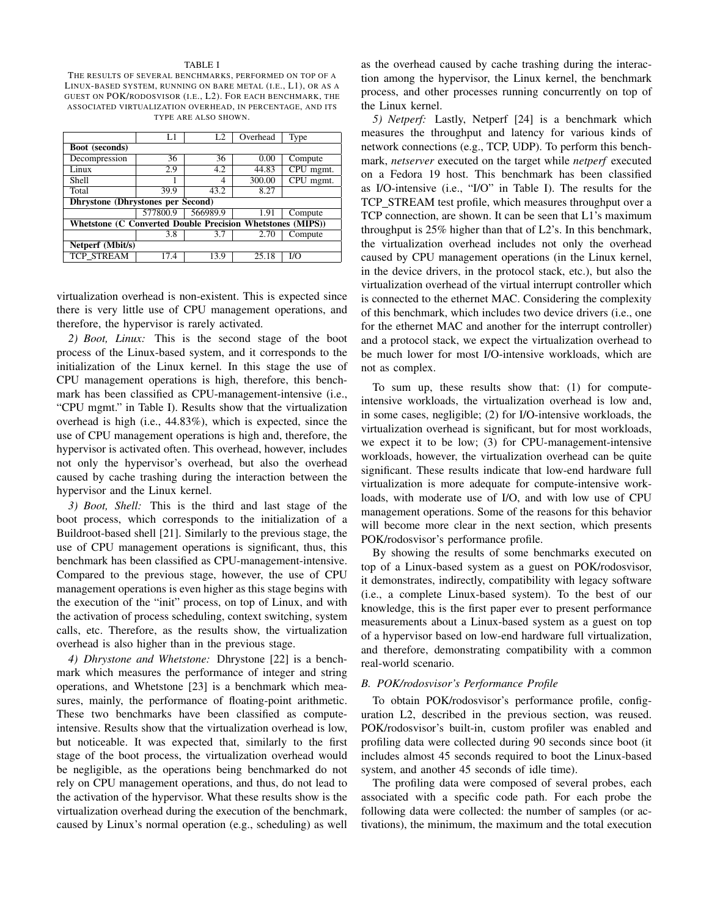#### TABLE I

THE RESULTS OF SEVERAL BENCHMARKS, PERFORMED ON TOP OF A LINUX-BASED SYSTEM, RUNNING ON BARE METAL (I.E., L1), OR AS A GUEST ON POK/RODOSVISOR (I.E., L2). FOR EACH BENCHMARK, THE ASSOCIATED VIRTUALIZATION OVERHEAD, IN PERCENTAGE, AND ITS TYPE ARE ALSO SHOWN.

|                                                                   | L1       | L2       | Overhead | Type                          |  |  |
|-------------------------------------------------------------------|----------|----------|----------|-------------------------------|--|--|
| <b>Boot</b> (seconds)                                             |          |          |          |                               |  |  |
| Decompression                                                     | 36       | 36       | 0.00     | Compute                       |  |  |
| Linux                                                             | 2.9      | 4.2      | 44.83    | CPU mgmt.                     |  |  |
| <b>Shell</b>                                                      |          | 4        | 300.00   | $\overline{\text{CPU}}$ mgmt. |  |  |
| Total                                                             | 39.9     | 43.2     | 8.27     |                               |  |  |
| <b>Dhrystone (Dhrystones per Second)</b>                          |          |          |          |                               |  |  |
|                                                                   | 577800.9 | 566989.9 | 1.91     | Compute                       |  |  |
| <b>Whetstone (C Converted Double Precision Whetstones (MIPS))</b> |          |          |          |                               |  |  |
|                                                                   | 3.8      | 3.7      | 2.70     | Compute                       |  |  |
| Netperf (Mbit/s)                                                  |          |          |          |                               |  |  |
| <b>TCP STREAM</b>                                                 | 17.4     | 13.9     | 25.18    | I/O                           |  |  |

virtualization overhead is non-existent. This is expected since there is very little use of CPU management operations, and therefore, the hypervisor is rarely activated.

*2) Boot, Linux:* This is the second stage of the boot process of the Linux-based system, and it corresponds to the initialization of the Linux kernel. In this stage the use of CPU management operations is high, therefore, this benchmark has been classified as CPU-management-intensive (i.e., "CPU mgmt." in Table I). Results show that the virtualization overhead is high (i.e., 44.83%), which is expected, since the use of CPU management operations is high and, therefore, the hypervisor is activated often. This overhead, however, includes not only the hypervisor's overhead, but also the overhead caused by cache trashing during the interaction between the hypervisor and the Linux kernel.

*3) Boot, Shell:* This is the third and last stage of the boot process, which corresponds to the initialization of a Buildroot-based shell [21]. Similarly to the previous stage, the use of CPU management operations is significant, thus, this benchmark has been classified as CPU-management-intensive. Compared to the previous stage, however, the use of CPU management operations is even higher as this stage begins with the execution of the "init" process, on top of Linux, and with the activation of process scheduling, context switching, system calls, etc. Therefore, as the results show, the virtualization overhead is also higher than in the previous stage.

*4) Dhrystone and Whetstone:* Dhrystone [22] is a benchmark which measures the performance of integer and string operations, and Whetstone [23] is a benchmark which measures, mainly, the performance of floating-point arithmetic. These two benchmarks have been classified as computeintensive. Results show that the virtualization overhead is low, but noticeable. It was expected that, similarly to the first stage of the boot process, the virtualization overhead would be negligible, as the operations being benchmarked do not rely on CPU management operations, and thus, do not lead to the activation of the hypervisor. What these results show is the virtualization overhead during the execution of the benchmark, caused by Linux's normal operation (e.g., scheduling) as well

as the overhead caused by cache trashing during the interaction among the hypervisor, the Linux kernel, the benchmark process, and other processes running concurrently on top of the Linux kernel.

*5) Netperf:* Lastly, Netperf [24] is a benchmark which measures the throughput and latency for various kinds of network connections (e.g., TCP, UDP). To perform this benchmark, *netserver* executed on the target while *netperf* executed on a Fedora 19 host. This benchmark has been classified as I/O-intensive (i.e., "I/O" in Table I). The results for the TCP\_STREAM test profile, which measures throughput over a TCP connection, are shown. It can be seen that L1's maximum throughput is 25% higher than that of L2's. In this benchmark, the virtualization overhead includes not only the overhead caused by CPU management operations (in the Linux kernel, in the device drivers, in the protocol stack, etc.), but also the virtualization overhead of the virtual interrupt controller which is connected to the ethernet MAC. Considering the complexity of this benchmark, which includes two device drivers (i.e., one for the ethernet MAC and another for the interrupt controller) and a protocol stack, we expect the virtualization overhead to be much lower for most I/O-intensive workloads, which are not as complex.

To sum up, these results show that: (1) for computeintensive workloads, the virtualization overhead is low and, in some cases, negligible; (2) for I/O-intensive workloads, the virtualization overhead is significant, but for most workloads, we expect it to be low; (3) for CPU-management-intensive workloads, however, the virtualization overhead can be quite significant. These results indicate that low-end hardware full virtualization is more adequate for compute-intensive workloads, with moderate use of I/O, and with low use of CPU management operations. Some of the reasons for this behavior will become more clear in the next section, which presents POK/rodosvisor's performance profile.

By showing the results of some benchmarks executed on top of a Linux-based system as a guest on POK/rodosvisor, it demonstrates, indirectly, compatibility with legacy software (i.e., a complete Linux-based system). To the best of our knowledge, this is the first paper ever to present performance measurements about a Linux-based system as a guest on top of a hypervisor based on low-end hardware full virtualization, and therefore, demonstrating compatibility with a common real-world scenario.

#### *B. POK/rodosvisor's Performance Profile*

To obtain POK/rodosvisor's performance profile, configuration L2, described in the previous section, was reused. POK/rodosvisor's built-in, custom profiler was enabled and profiling data were collected during 90 seconds since boot (it includes almost 45 seconds required to boot the Linux-based system, and another 45 seconds of idle time).

The profiling data were composed of several probes, each associated with a specific code path. For each probe the following data were collected: the number of samples (or activations), the minimum, the maximum and the total execution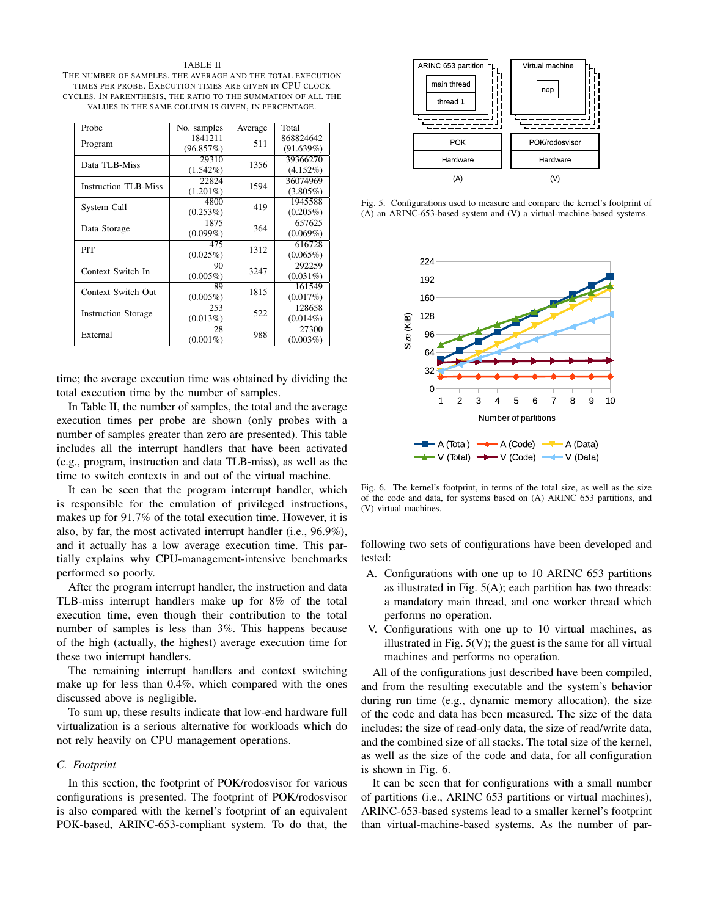#### TABLE II

THE NUMBER OF SAMPLES, THE AVERAGE AND THE TOTAL EXECUTION TIMES PER PROBE. EXECUTION TIMES ARE GIVEN IN CPU CLOCK CYCLES. IN PARENTHESIS, THE RATIO TO THE SUMMATION OF ALL THE VALUES IN THE SAME COLUMN IS GIVEN, IN PERCENTAGE.

| Probe                       | No. samples | Average | Total       |
|-----------------------------|-------------|---------|-------------|
| Program                     | 1841211     | 511     | 868824642   |
|                             | (96.857%)   |         | (91.639%)   |
| Data TLB-Miss               | 29310       | 1356    | 39366270    |
|                             | $(1.542\%)$ |         | (4.152%)    |
| <b>Instruction TLB-Miss</b> | 22824       | 1594    | 36074969    |
|                             | $(1.201\%)$ |         | $(3.805\%)$ |
| System Call                 | 4800        | 419     | 1945588     |
|                             | (0.253%)    |         | $(0.205\%)$ |
| Data Storage                | 1875        | 364     | 657625      |
|                             | $(0.099\%)$ |         | $(0.069\%)$ |
| <b>PIT</b>                  | 475         | 1312    | 616728      |
|                             | $(0.025\%)$ |         | $(0.065\%)$ |
| Context Switch In           | 90          | 3247    | 292259      |
|                             | $(0.005\%)$ |         | $(0.031\%)$ |
| Context Switch Out          | 89          | 1815    | 161549      |
|                             | $(0.005\%)$ |         | (0.017%)    |
| <b>Instruction Storage</b>  | 253         | 522     | 128658      |
|                             | (0.013%)    |         | $(0.014\%)$ |
| External                    | 28          | 988     | 27300       |
|                             | $(0.001\%)$ |         | $(0.003\%)$ |

time; the average execution time was obtained by dividing the total execution time by the number of samples.

In Table II, the number of samples, the total and the average execution times per probe are shown (only probes with a number of samples greater than zero are presented). This table includes all the interrupt handlers that have been activated (e.g., program, instruction and data TLB-miss), as well as the time to switch contexts in and out of the virtual machine.

It can be seen that the program interrupt handler, which is responsible for the emulation of privileged instructions, makes up for 91.7% of the total execution time. However, it is also, by far, the most activated interrupt handler (i.e., 96.9%), and it actually has a low average execution time. This partially explains why CPU-management-intensive benchmarks performed so poorly.

After the program interrupt handler, the instruction and data TLB-miss interrupt handlers make up for 8% of the total execution time, even though their contribution to the total number of samples is less than 3%. This happens because of the high (actually, the highest) average execution time for these two interrupt handlers.

The remaining interrupt handlers and context switching make up for less than 0.4%, which compared with the ones discussed above is negligible.

To sum up, these results indicate that low-end hardware full virtualization is a serious alternative for workloads which do not rely heavily on CPU management operations.

# *C. Footprint*

In this section, the footprint of POK/rodosvisor for various configurations is presented. The footprint of POK/rodosvisor is also compared with the kernel's footprint of an equivalent POK-based, ARINC-653-compliant system. To do that, the



Fig. 5. Configurations used to measure and compare the kernel's footprint of (A) an ARINC-653-based system and (V) a virtual-machine-based systems.



Fig. 6. The kernel's footprint, in terms of the total size, as well as the size of the code and data, for systems based on (A) ARINC 653 partitions, and (V) virtual machines.

following two sets of configurations have been developed and tested:

- A. Configurations with one up to 10 ARINC 653 partitions as illustrated in Fig.  $5(A)$ ; each partition has two threads: a mandatory main thread, and one worker thread which performs no operation.
- V. Configurations with one up to 10 virtual machines, as illustrated in Fig. 5(V); the guest is the same for all virtual machines and performs no operation.

All of the configurations just described have been compiled, and from the resulting executable and the system's behavior during run time (e.g., dynamic memory allocation), the size of the code and data has been measured. The size of the data includes: the size of read-only data, the size of read/write data, and the combined size of all stacks. The total size of the kernel, as well as the size of the code and data, for all configuration is shown in Fig. 6.

It can be seen that for configurations with a small number of partitions (i.e., ARINC 653 partitions or virtual machines), ARINC-653-based systems lead to a smaller kernel's footprint than virtual-machine-based systems. As the number of par